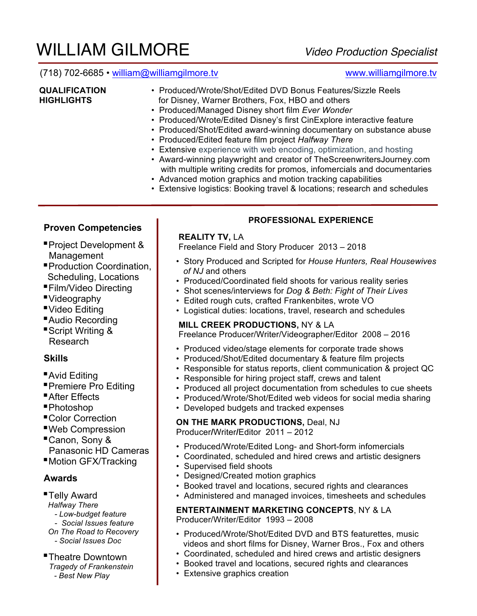# WILLIAM GILMORE *Video Production Specialist*

# (718) 702-6685 • william@williamgilmore.tv www.williamgilmore.tv

- **QUALIFICATION** Produced/Wrote/Shot/Edited DVD Bonus Features/Sizzle Reels **HIGHLIGHTS for Disney, Warner Brothers, Fox, HBO and others** 
	- Produced/Managed Disney short film *Ever Wonder*
	- Produced/Wrote/Edited Disney's first CinExplore interactive feature
	- Produced/Shot/Edited award-winning documentary on substance abuse
	- Produced/Edited feature film project *Halfway There*
	- Extensive experience with web encoding, optimization, and hosting
	- Award-winning playwright and creator of TheScreenwritersJourney.com with multiple writing credits for promos, infomercials and documentaries
	- Advanced motion graphics and motion tracking capabilities
	- Extensive logistics: Booking travel & locations; research and schedules

# **Proven Competencies**

- Project Development & Management
- Production Coordination, Scheduling, Locations
- Film/Video Directing
- Videography
- Video Editing
- Audio Recording
- Script Writing & Research

# **Skills**

- Avid Editing
- Premiere Pro Editing
- After Effects
- Photoshop
- Color Correction
- ■Web Compression
- Canon, Sony & Panasonic HD Cameras
- Motion GFX/Tracking

# **Awards**

- Telly Award
- *Halfway There*
- *- Low-budget feature*
- *Social Issues feature On The Road to Recovery*
- *- Social Issues Doc*

# ■ Theatre Downtown

- *Tragedy of Frankenstein*
- *- Best New Play*

# **PROFESSIONAL EXPERIENCE**

# **REALITY TV,** LA

Freelance Field and Story Producer 2013 – 2018

- Story Produced and Scripted for *House Hunters, Real Housewives of NJ* and others
- Produced/Coordinated field shoots for various reality series
- Shot scenes/interviews for *Dog & Beth: Fight of Their Lives*
- Edited rough cuts, crafted Frankenbites, wrote VO
- Logistical duties: locations, travel, research and schedules

# **MILL CREEK PRODUCTIONS,** NY & LA

Freelance Producer/Writer/Videographer/Editor 2008 – 2016

- Produced video/stage elements for corporate trade shows
- Produced/Shot/Edited documentary & feature film projects
- Responsible for status reports, client communication & project QC
- Responsible for hiring project staff, crews and talent
- Produced all project documentation from schedules to cue sheets
- Produced/Wrote/Shot/Edited web videos for social media sharing
- Developed budgets and tracked expenses

# **ON THE MARK PRODUCTIONS,** Deal, NJ

Producer**/**Writer**/**Editor 2011 – 2012

- Produced/Wrote/Edited Long- and Short-form infomercials
- Coordinated, scheduled and hired crews and artistic designers
- Supervised field shoots
- Designed/Created motion graphics
- Booked travel and locations, secured rights and clearances
- Administered and managed invoices, timesheets and schedules

### **ENTERTAINMENT MARKETING CONCEPTS**, NY & LA Producer/Writer/Editor 1993 – 2008

- Produced/Wrote/Shot/Edited DVD and BTS featurettes, music videos and short films for Disney, Warner Bros., Fox and others
- Coordinated, scheduled and hired crews and artistic designers
- Booked travel and locations, secured rights and clearances
- Extensive graphics creation